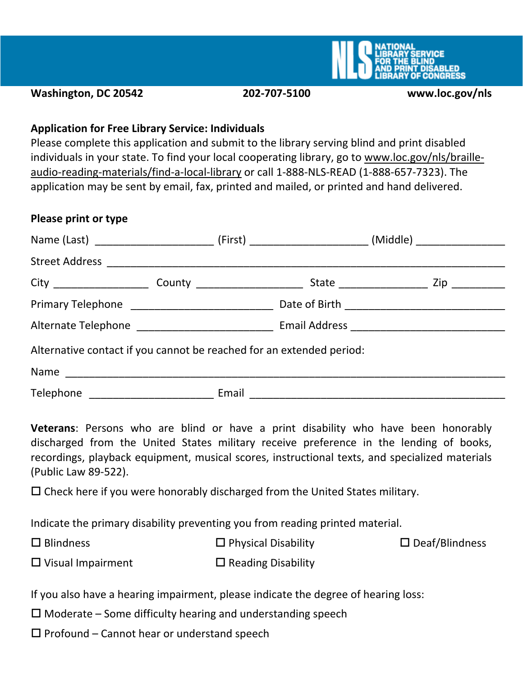

**Washington, DC 20542 202-707-5100 www.loc.gov/nls**

#### **Application for Free Library Service: Individuals**

Please complete this application and submit to the library serving blind and print disabled individuals in your state. To find your local cooperating library, go to www.loc.gov/nls/brailleaudio-reading-materials/find-a-local-library or call 1-888-NLS-READ (1-888-657-7323). The application may be sent by email, fax, printed and mailed, or printed and hand delivered.

#### **Please print or type**

|                                                                      |  |  | Name (Last) ______________________________ (First) _____________________________(Middle) _________________ |
|----------------------------------------------------------------------|--|--|------------------------------------------------------------------------------------------------------------|
|                                                                      |  |  |                                                                                                            |
|                                                                      |  |  |                                                                                                            |
|                                                                      |  |  |                                                                                                            |
|                                                                      |  |  |                                                                                                            |
| Alternative contact if you cannot be reached for an extended period: |  |  |                                                                                                            |
|                                                                      |  |  |                                                                                                            |
|                                                                      |  |  |                                                                                                            |

**Veterans**: Persons who are blind or have a print disability who have been honorably discharged from the United States military receive preference in the lending of books, recordings, playback equipment, musical scores, instructional texts, and specialized materials (Public Law 89-522).

 $\Box$  Check here if you were honorably discharged from the United States military.

Indicate the primary disability preventing you from reading printed material.

| $\square$ Blindness | $\Box$ Physical Disability | $\square$ Deaf/Blindness |
|---------------------|----------------------------|--------------------------|
|---------------------|----------------------------|--------------------------|

 $\Box$  Visual Impairment  $\square$  Reading Disability

If you also have a hearing impairment, please indicate the degree of hearing loss:

 $\square$  Moderate – Some difficulty hearing and understanding speech

 $\square$  Profound – Cannot hear or understand speech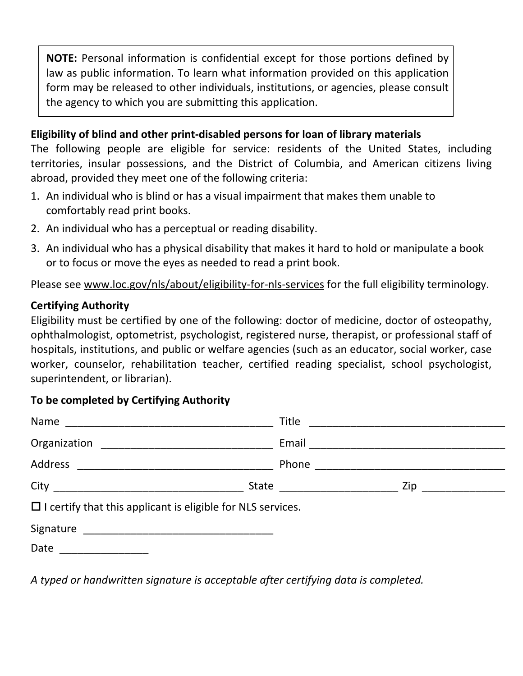**NOTE:** Personal information is confidential except for those portions defined by law as public information. To learn what information provided on this application form may be released to other individuals, institutions, or agencies, please consult the agency to which you are submitting this application.

#### **Eligibility of blind and other print-disabled persons for loan of library materials**

The following people are eligible for service: residents of the United States, including territories, insular possessions, and the District of Columbia, and American citizens living abroad, provided they meet one of the following criteria:

- 1. An individual who is blind or has a visual impairment that makes them unable to comfortably read print books.
- 2. An individual who has a perceptual or reading disability.
- 3. An individual who has a physical disability that makes it hard to hold or manipulate a book or to focus or move the eyes as needed to read a print book.

Please see www.loc.gov/nls/about/eligibility-for-nls-services for the full eligibility terminology.

## **Certifying Authority**

Eligibility must be certified by one of the following: doctor of medicine, doctor of osteopathy, ophthalmologist, optometrist, psychologist, registered nurse, therapist, or professional staff of hospitals, institutions, and public or welfare agencies (such as an educator, social worker, case worker, counselor, rehabilitation teacher, certified reading specialist, school psychologist, superintendent, or librarian).

## **To be completed by Certifying Authority**

| $\Box$ I certify that this applicant is eligible for NLS services. |  |  |
|--------------------------------------------------------------------|--|--|
|                                                                    |  |  |
| Date <u>__________</u>                                             |  |  |

*A typed or handwritten signature is acceptable after certifying data is completed.*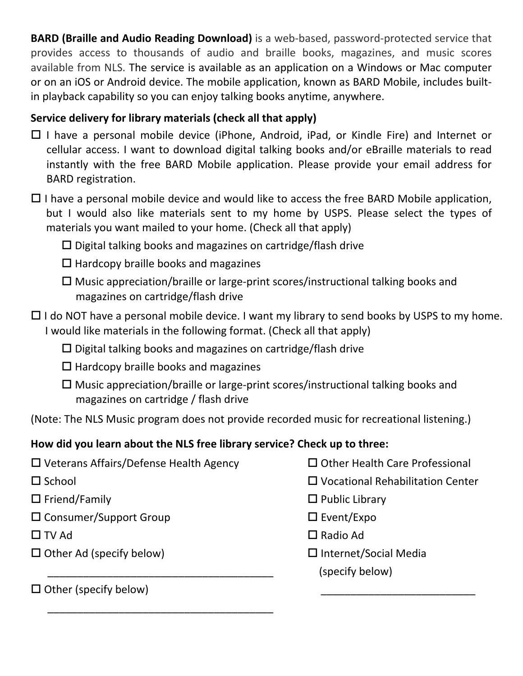**BARD (Braille and Audio Reading Download)** is a web-based, password-protected service that provides access to thousands of audio and braille books, magazines, and music scores available from NLS. The service is available as an application on a Windows or Mac computer or on an iOS or Android device. The mobile application, known as BARD Mobile, includes builtin playback capability so you can enjoy talking books anytime, anywhere.

# **Service delivery for library materials (check all that apply)**

- $\Box$  I have a personal mobile device (iPhone, Android, iPad, or Kindle Fire) and Internet or cellular access. I want to download digital talking books and/or eBraille materials to read instantly with the free BARD Mobile application. Please provide your email address for BARD registration.
- $\Box$  I have a personal mobile device and would like to access the free BARD Mobile application, but I would also like materials sent to my home by USPS. Please select the types of materials you want mailed to your home. (Check all that apply)
	- $\square$  Digital talking books and magazines on cartridge/flash drive
	- $\Box$  Hardcopy braille books and magazines
	- $\Box$  Music appreciation/braille or large-print scores/instructional talking books and magazines on cartridge/flash drive
- $\Box$  I do NOT have a personal mobile device. I want my library to send books by USPS to my home. I would like materials in the following format. (Check all that apply)
	- $\square$  Digital talking books and magazines on cartridge/flash drive
	- $\Box$  Hardcopy braille books and magazines

\_\_\_\_\_\_\_\_\_\_\_\_\_\_\_\_\_\_\_\_\_\_\_\_\_\_\_\_\_\_\_\_\_\_\_\_\_\_

\_\_\_\_\_\_\_\_\_\_\_\_\_\_\_\_\_\_\_\_\_\_\_\_\_\_\_\_\_\_\_\_\_\_\_\_\_\_

 $\Box$  Music appreciation/braille or large-print scores/instructional talking books and magazines on cartridge / flash drive

(Note: The NLS Music program does not provide recorded music for recreational listening.)

# **How did you learn about the NLS free library service? Check up to three:**

- $\square$  Veterans Affairs/Defense Health Agency  $\square$  Other Health Care Professional
- 
- 
- $\square$  Consumer/Support Group  $\square$  Event/Expo
- 
- $\Box$  Other Ad (specify below)
- 
- School Vocational Rehabilitation Center
- $\square$  Friend/Family  $\square$  Public Library
	-
- $\Box$  TV Ad  $\Box$  Radio Ad
	- $\square$  Internet/Social Media (specify below)

\_\_\_\_\_\_\_\_\_\_\_\_\_\_\_\_\_\_\_\_\_\_\_\_\_\_ Other (specify below)